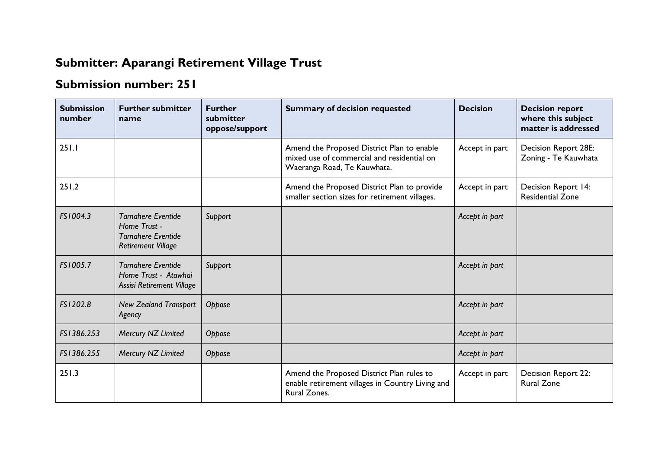## **Submitter: Aparangi Retirement Village Trust**

## **Submission number: 251**

| <b>Submission</b><br>number | <b>Further submitter</b><br>name                                                                  | <b>Further</b><br>submitter<br>oppose/support | <b>Summary of decision requested</b>                                                                                    | <b>Decision</b> | <b>Decision report</b><br>where this subject<br>matter is addressed |
|-----------------------------|---------------------------------------------------------------------------------------------------|-----------------------------------------------|-------------------------------------------------------------------------------------------------------------------------|-----------------|---------------------------------------------------------------------|
| 251.1                       |                                                                                                   |                                               | Amend the Proposed District Plan to enable<br>mixed use of commercial and residential on<br>Waeranga Road, Te Kauwhata. | Accept in part  | <b>Decision Report 28E:</b><br>Zoning - Te Kauwhata                 |
| 251.2                       |                                                                                                   |                                               | Amend the Proposed District Plan to provide<br>smaller section sizes for retirement villages.                           | Accept in part  | Decision Report 14:<br><b>Residential Zone</b>                      |
| FS1004.3                    | <b>Tamahere Eventide</b><br>Home Trust -<br><b>Tamahere Eventide</b><br><b>Retirement Village</b> | Support                                       |                                                                                                                         | Accept in part  |                                                                     |
| FS1005.7                    | <b>Tamahere Eventide</b><br>Home Trust - Atawhai<br>Assisi Retirement Village                     | Support                                       |                                                                                                                         | Accept in part  |                                                                     |
| FS1202.8                    | <b>New Zealand Transport</b><br>Agency                                                            | Oppose                                        |                                                                                                                         | Accept in part  |                                                                     |
| FS1386.253                  | Mercury NZ Limited                                                                                | Oppose                                        |                                                                                                                         | Accept in part  |                                                                     |
| FS1386.255                  | Mercury NZ Limited                                                                                | Oppose                                        |                                                                                                                         | Accept in part  |                                                                     |
| 251.3                       |                                                                                                   |                                               | Amend the Proposed District Plan rules to<br>enable retirement villages in Country Living and<br>Rural Zones.           | Accept in part  | Decision Report 22:<br><b>Rural Zone</b>                            |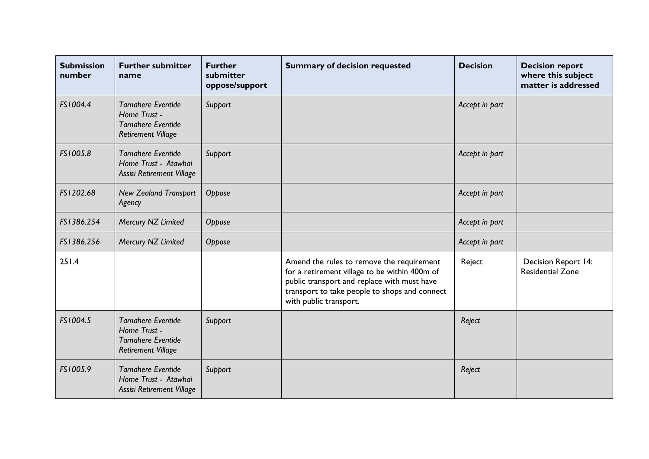| <b>Submission</b><br>number | <b>Further submitter</b><br>name                                                                  | <b>Further</b><br>submitter<br>oppose/support | <b>Summary of decision requested</b>                                                                                                                                                                                 | <b>Decision</b> | <b>Decision report</b><br>where this subject<br>matter is addressed |
|-----------------------------|---------------------------------------------------------------------------------------------------|-----------------------------------------------|----------------------------------------------------------------------------------------------------------------------------------------------------------------------------------------------------------------------|-----------------|---------------------------------------------------------------------|
| FS1004.4                    | <b>Tamahere Eventide</b><br>Home Trust -<br><b>Tamahere Eventide</b><br><b>Retirement Village</b> | Support                                       |                                                                                                                                                                                                                      | Accept in part  |                                                                     |
| FS1005.8                    | <b>Tamahere Eventide</b><br>Home Trust - Atawhai<br>Assisi Retirement Village                     | Support                                       |                                                                                                                                                                                                                      | Accept in part  |                                                                     |
| FS1202.68                   | <b>New Zealand Transport</b><br>Agency                                                            | Oppose                                        |                                                                                                                                                                                                                      | Accept in part  |                                                                     |
| FS1386.254                  | Mercury NZ Limited                                                                                | Oppose                                        |                                                                                                                                                                                                                      | Accept in part  |                                                                     |
| FS1386.256                  | Mercury NZ Limited                                                                                | Oppose                                        |                                                                                                                                                                                                                      | Accept in part  |                                                                     |
| 251.4                       |                                                                                                   |                                               | Amend the rules to remove the requirement<br>for a retirement village to be within 400m of<br>public transport and replace with must have<br>transport to take people to shops and connect<br>with public transport. | Reject          | Decision Report 14:<br><b>Residential Zone</b>                      |
| FS1004.5                    | <b>Tamahere Eventide</b><br>Home Trust -<br><b>Tamahere Eventide</b><br><b>Retirement Village</b> | Support                                       |                                                                                                                                                                                                                      | Reject          |                                                                     |
| FS1005.9                    | <b>Tamahere Eventide</b><br>Home Trust - Atawhai<br>Assisi Retirement Village                     | Support                                       |                                                                                                                                                                                                                      | Reject          |                                                                     |